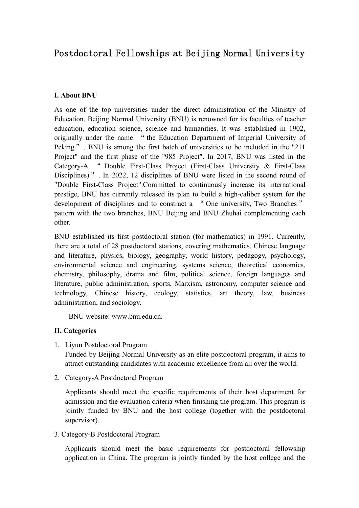# Postdoctoral Fellowships at Beijing Normal University

#### **I. About BNU**

As one of the top universities under the direct administration of the Ministry of Education, Beijing Normal University (BNU) is renowned for its faculties of teacher education, education science, science and humanities. It was established in 1902, originally under the name " the Education Department of Imperial University of Peking". BNU is among the first batch of universities to be included in the "211" Project" and the first phase of the "985 Project". In 2017, BNU was listed in the Category-A " Double First-Class Project (First-Class University & First-Class Disciplines)". In 2022, 12 disciplines of BNU were listed in the second round of "Double First-Class Project".Committed to continuously increase its international prestige, BNU has currently released its plan to build a high-caliber system for the development of disciplines and to construct a " One university, Two Branches " pattern with the two branches, BNU Beijing and BNU Zhuhai complementing each other.

BNU established its first postdoctoral station (for mathematics) in 1991. Currently, there are a total of 28 postdoctoral stations, covering mathematics, Chinese language and literature, physics, biology, geography, world history, pedagogy, psychology, environmental science and engineering, systems science, theoretical economics, chemistry, philosophy, drama and film, political science, foreign languages and literature, public administration, sports, Marxism, astronomy, computer science and technology, Chinese history, ecology, statistics, art theory, law, business administration, and sociology.

BNU website: www.bnu.edu.cn.

#### **II. Categories**

1. Liyun Postdoctoral Program

Funded by Beijing Normal University as an elite postdoctoral program, it aims to attract outstanding candidates with academic excellence from all over the world.

2. Category-A Postdoctoral Program

Applicants should meet the specific requirements of their host department for admission and the evaluation criteria when finishing the program. This program is jointly funded by BNU and the host college (together with the postdoctoral supervisor).

3. Category-B Postdoctoral Program

Applicants should meet the basic requirements for postdoctoral fellowship application in China. The program is jointly funded by the host college and the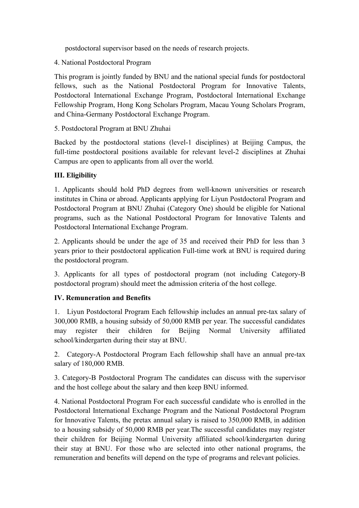postdoctoral supervisor based on the needs of research projects.

4. National Postdoctoral Program

This program is jointly funded by BNU and the national special funds for postdoctoral fellows, such as the National Postdoctoral Program for Innovative Talents, Postdoctoral International Exchange Program, Postdoctoral International Exchange Fellowship Program, Hong Kong Scholars Program, Macau Young Scholars Program, and China-Germany Postdoctoral Exchange Program.

5. Postdoctoral Program at BNU Zhuhai

Backed by the postdoctoral stations (level-1 disciplines) at Beijing Campus, the full-time postdoctoral positions available for relevant level-2 disciplines at Zhuhai Campus are open to applicants from all over the world.

# **III. Eligibility**

1. Applicants should hold PhD degrees from well-known universities or research institutes in China or abroad. Applicants applying for Liyun Postdoctoral Program and Postdoctoral Program at BNU Zhuhai (Category One) should be eligible for National programs, such as the National Postdoctoral Program for Innovative Talents and Postdoctoral International Exchange Program.

2. Applicants should be under the age of 35 and received their PhD for less than 3 years prior to their postdoctoral application Full-time work at BNU is required during the postdoctoral program.

3. Applicants for all types of postdoctoral program (not including Category-B postdoctoral program) should meet the admission criteria of the host college.

## **IV. Remuneration and Benefits**

1. Liyun Postdoctoral Program Each fellowship includes an annual pre-tax salary of 300,000 RMB, a housing subsidy of 50,000 RMB per year. The successful candidates may register their children for Beijing Normal University affiliated school/kindergarten during their stay at BNU.

2. Category-A Postdoctoral Program Each fellowship shall have an annual pre-tax salary of 180,000 RMB.

3. Category-B Postdoctoral Program The candidates can discuss with the supervisor and the host college about the salary and then keep BNU informed.

4. National Postdoctoral Program For each successful candidate who is enrolled in the Postdoctoral International Exchange Program and the National Postdoctoral Program for Innovative Talents, the pretax annual salary is raised to 350,000 RMB, in addition to a housing subsidy of 50,000 RMB per year.The successful candidates may register their children for Beijing Normal University affiliated school/kindergarten during their stay at BNU. For those who are selected into other national programs, the remuneration and benefits will depend on the type of programs and relevant policies.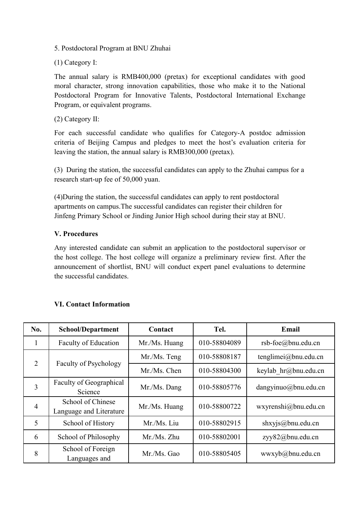5. Postdoctoral Program at BNU Zhuhai

(1) Category I:

The annual salary is RMB400,000 (pretax) for exceptional candidates with good moral character, strong innovation capabilities, those who make it to the National Postdoctoral Program for Innovative Talents, Postdoctoral International Exchange Program, or equivalent programs.

(2) Category II:

For each successful candidate who qualifies for Category-A postdoc admission criteria of Beijing Campus and pledges to meet the host's evaluation criteria for leaving the station, the annual salary is RMB300,000 (pretax).

(3) During the station, the successful candidates can apply to the Zhuhai campus for a research start-up fee of 50,000 yuan.

(4)During the station, the successful candidates can apply to rent postdoctoral apartments on campus.The successful candidates can register their children for Jinfeng Primary School or Jinding Junior High school during their stay at BNU.

# **V. Procedures**

Any interested candidate can submit an application to the postdoctoral supervisor or the host college. The host college will organize a preliminary review first. After the announcement of shortlist, BNU will conduct expert panel evaluations to determine the successful candidates.

| No.            | <b>School/Department</b>                     | Contact       | Tel.         | Email                       |
|----------------|----------------------------------------------|---------------|--------------|-----------------------------|
| $\mathbf{1}$   | <b>Faculty of Education</b>                  | Mr./Ms. Huang | 010-58804089 | $rsb$ -foe $@$ bnu.edu.cn   |
| 2              | <b>Faculty of Psychology</b>                 | Mr./Ms. Teng  | 010-58808187 | tenglimei@bnu.edu.cn        |
|                |                                              | Mr./Ms. Chen  | 010-58804300 | keylab hr@bnu.edu.cn        |
| 3              | Faculty of Geographical<br>Science           | Mr./Ms. Dang  | 010-58805776 | $d$ angyinuo $@$ bnu.edu.cn |
| $\overline{4}$ | School of Chinese<br>Language and Literature | Mr./Ms. Huang | 010-58800722 | wxyrenshi@bnu.edu.cn        |
| 5              | School of History                            | Mr./Ms. Liu   | 010-58802915 | shxyjs@bnu.edu.cn           |
| 6              | School of Philosophy                         | Mr./Ms. Zhu   | 010-58802001 | zyy82@bnu.edu.cn            |
| 8              | School of Foreign<br>Languages and           | Mr./Ms. Gao   | 010-58805405 | wwxyb@bnu.edu.cn            |

## **VI. Contact Information**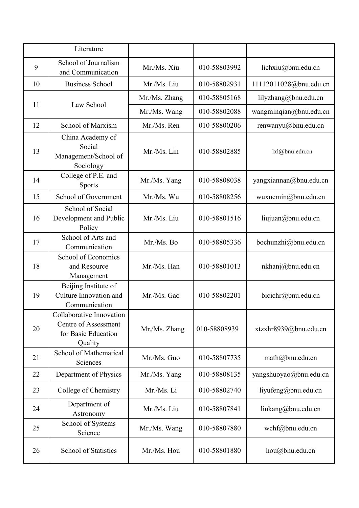|    | Literature                                                                         |               |              |                        |
|----|------------------------------------------------------------------------------------|---------------|--------------|------------------------|
| 9  | School of Journalism<br>and Communication                                          | Mr./Ms. Xiu   | 010-58803992 | lichxiu@bnu.edu.cn     |
| 10 | <b>Business School</b>                                                             | Mr./Ms. Liu   | 010-58802931 | 11112011028@bnu.edu.cn |
|    | Law School                                                                         | Mr./Ms. Zhang | 010-58805168 | lilyzhang@bnu.edu.cn   |
| 11 |                                                                                    | Mr./Ms. Wang  | 010-58802088 | wangminqian@bnu.edu.cn |
| 12 | School of Marxism                                                                  | Mr./Ms. Ren   | 010-58800206 | renwanyu@bnu.edu.cn    |
| 13 | China Academy of<br>Social<br>Management/School of<br>Sociology                    | Mr./Ms. Lin   | 010-58802885 | lxl@bnu.edu.cn         |
| 14 | College of P.E. and<br><b>Sports</b>                                               | Mr./Ms. Yang  | 010-58808038 | yangxiannan@bnu.edu.cn |
| 15 | School of Government                                                               | Mr./Ms. Wu    | 010-58808256 | wuxuemin@bnu.edu.cn    |
| 16 | School of Social<br>Development and Public<br>Policy                               | Mr./Ms. Liu   | 010-58801516 | liujuan@bnu.edu.cn     |
| 17 | School of Arts and<br>Communication                                                | Mr./Ms. Bo    | 010-58805336 | bochunzhi@bnu.edu.cn   |
| 18 | School of Economics<br>and Resource<br>Management                                  | Mr./Ms. Han   | 010-58801013 | nkhanj@bnu.edu.cn      |
| 19 | Beijing Institute of<br>Culture Innovation and<br>Communication                    | Mr./Ms. Gao   | 010-58802201 | bicichr@bnu.edu.cn     |
| 20 | Collaborative Innovation<br>Centre of Assessment<br>for Basic Education<br>Quality | Mr./Ms. Zhang | 010-58808939 | xtzxhr8939@bnu.edu.cn  |
| 21 | School of Mathematical<br>Sciences                                                 | Mr./Ms. Guo   | 010-58807735 | math@bnu.edu.cn        |
| 22 | Department of Physics                                                              | Mr./Ms. Yang  | 010-58808135 | yangshuoyao@bnu.edu.cn |
| 23 | College of Chemistry                                                               | Mr./Ms. Li    | 010-58802740 | liyufeng@bnu.edu.cn    |
| 24 | Department of<br>Astronomy                                                         | Mr./Ms. Liu   | 010-58807841 | liukang@bnu.edu.cn     |
| 25 | School of Systems<br>Science                                                       | Mr./Ms. Wang  | 010-58807880 | wchf@bnu.edu.cn        |
| 26 | <b>School of Statistics</b>                                                        | Mr./Ms. Hou   | 010-58801880 | hou@bnu.edu.cn         |